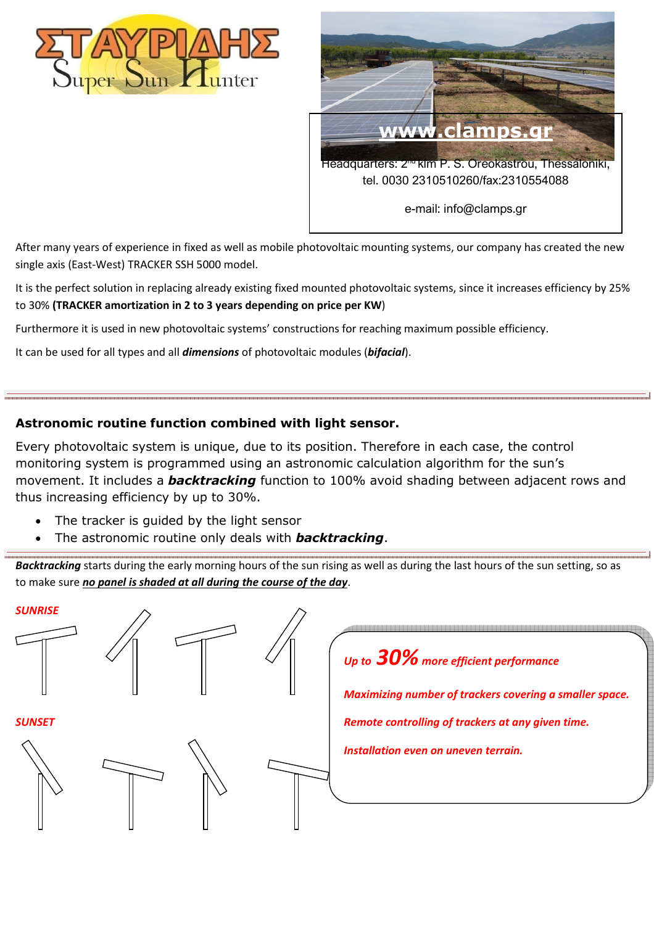



After many years of experience in fixed as well as mobile photovoltaic mounting systems, our company has created the new single axis (East-West) TRACKER SSH 5000 model.

It is the perfect solution in replacing already existing fixed mounted photovoltaic systems, since it increases efficiency by 25% to 30% **(TRACKER amortization in 2 to 3 years depending on price per KW**)

Furthermore it is used in new photovoltaic systems' constructions for reaching maximum possible efficiency.

It can be used for all types and all *dimensions* of photovoltaic modules (*bifacial*).

### **Astronomic routine function combined with light sensor.**

Every photovoltaic system is unique, due to its position. Therefore in each case, the control monitoring system is programmed using an astronomic calculation algorithm for the sun's movement. It includes a *backtracking* function to 100% avoid shading between adjacent rows and thus increasing efficiency by up to 30%.

- The tracker is guided by the light sensor
- The astronomic routine only deals with *backtracking*.

*Backtracking* starts during the early morning hours of the sun rising as well as during the last hours of the sun setting, so as to make sure *no panel is shaded at all during the course of the day*.

# *Up to 30% more efficient performance Maximizing number of trackers covering a smaller space. Remote controlling of trackers at any given time. Installation even on uneven terrain. SUNRISE SUNSET*